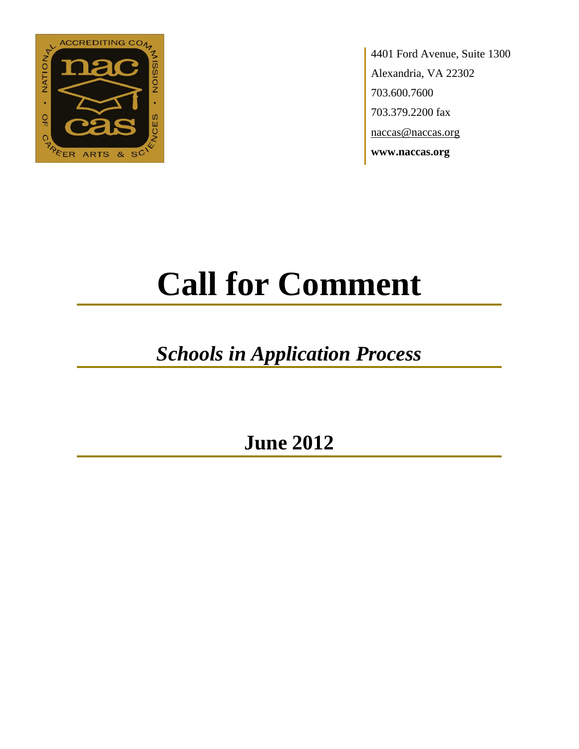

4401 Ford Avenue, Suite 1300 Alexandria, VA 22302 703.600.7600 703.379.2200 fax naccas@naccas.org **www.naccas.org**

# **Call for Comment**

# *Schools in Application Process*

**June 2012**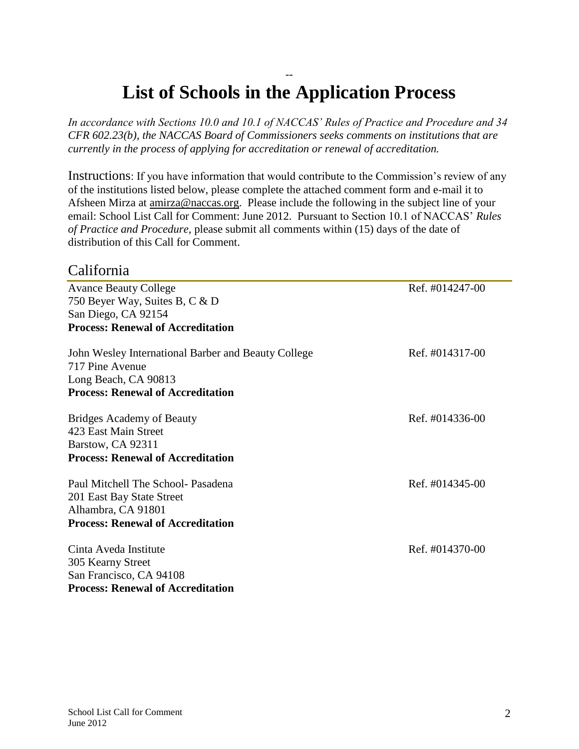# -- **List of Schools in the Application Process**

*In accordance with Sections 10.0 and 10.1 of NACCAS' Rules of Practice and Procedure and 34 CFR 602.23(b), the NACCAS Board of Commissioners seeks comments on institutions that are currently in the process of applying for accreditation or renewal of accreditation.*

Instructions: If you have information that would contribute to the Commission's review of any of the institutions listed below, please complete the attached comment form and e-mail it to Afsheen Mirza at [amirza@naccas.org.](mailto:amirza@naccas.org) Please include the following in the subject line of your email: School List Call for Comment: June 2012. Pursuant to Section 10.1 of NACCAS' *Rules of Practice and Procedure*, please submit all comments within (15) days of the date of distribution of this Call for Comment.

#### California

Avance Beauty College Ref. #014247-00 750 Beyer Way, Suites B, C & D San Diego, CA 92154 **Process: Renewal of Accreditation**

| John Wesley International Barber and Beauty College<br>717 Pine Avenue<br>Long Beach, CA 90813<br><b>Process: Renewal of Accreditation</b> | Ref. #014317-00 |
|--------------------------------------------------------------------------------------------------------------------------------------------|-----------------|
| <b>Bridges Academy of Beauty</b><br>423 East Main Street<br>Barstow, CA 92311<br><b>Process: Renewal of Accreditation</b>                  | Ref. #014336-00 |
| Paul Mitchell The School- Pasadena<br>201 East Bay State Street<br>Alhambra, CA 91801<br><b>Process: Renewal of Accreditation</b>          | Ref. #014345-00 |
| Cinta Aveda Institute<br>305 Kearny Street<br>San Francisco, CA 94108<br>Process: Renewal of Accreditation                                 | Ref. #014370-00 |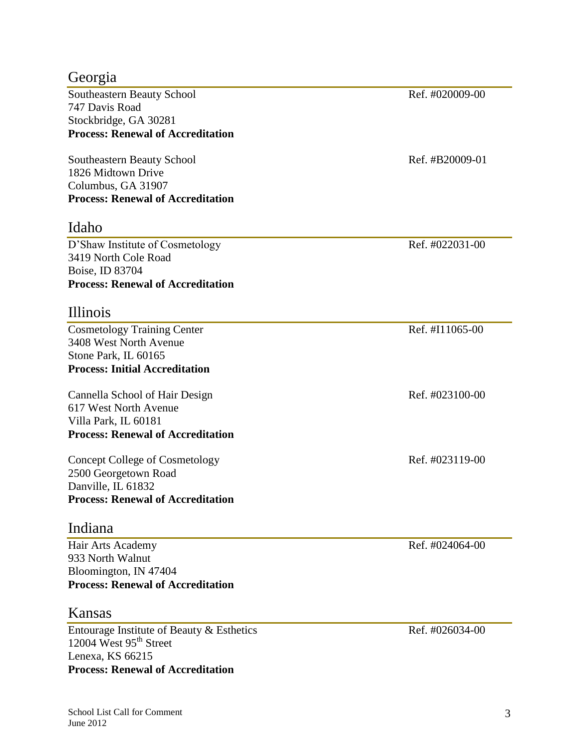## Georgia

Southeastern Beauty School Ref. #020009-00 747 Davis Road Stockbridge, GA 30281 **Process: Renewal of Accreditation**

Southeastern Beauty School Ref. #B20009-01 1826 Midtown Drive Columbus, GA 31907 **Process: Renewal of Accreditation**

### Idaho

D'Shaw Institute of Cosmetology Ref. #022031-00 3419 North Cole Road Boise, ID 83704 **Process: Renewal of Accreditation**

#### Illinois

Cosmetology Training Center Ref. #I11065-00 3408 West North Avenue Stone Park, IL 60165 **Process: Initial Accreditation**

Cannella School of Hair Design Ref. #023100-00 617 West North Avenue Villa Park, IL 60181 **Process: Renewal of Accreditation**

Concept College of Cosmetology Ref. #023119-00 2500 Georgetown Road Danville, IL 61832 **Process: Renewal of Accreditation**

#### Indiana

Hair Arts Academy Ref. #024064-00 933 North Walnut Bloomington, IN 47404 **Process: Renewal of Accreditation**

#### Kansas

Entourage Institute of Beauty & Esthetics Ref. #026034-00 12004 West  $95<sup>th</sup>$  Street Lenexa, KS 66215 **Process: Renewal of Accreditation**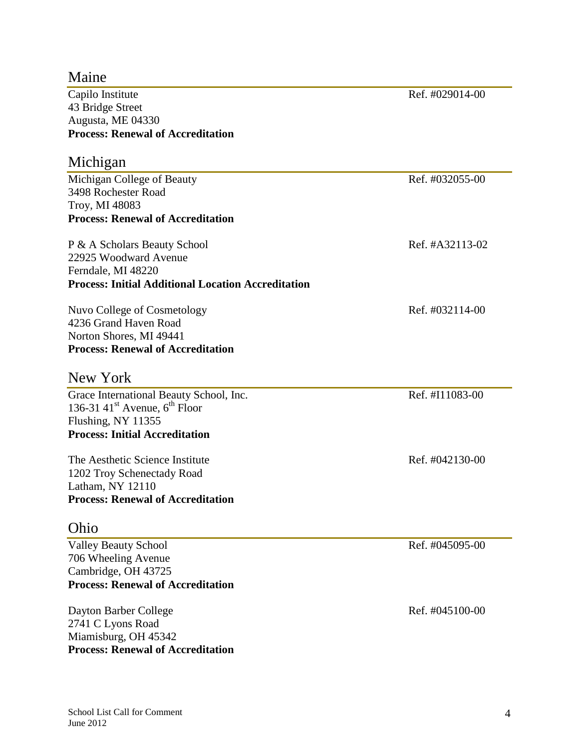| Maine                                                     |                 |
|-----------------------------------------------------------|-----------------|
| Capilo Institute                                          | Ref. #029014-00 |
| 43 Bridge Street                                          |                 |
| Augusta, ME 04330                                         |                 |
| <b>Process: Renewal of Accreditation</b>                  |                 |
| Michigan                                                  |                 |
| Michigan College of Beauty                                | Ref. #032055-00 |
| 3498 Rochester Road                                       |                 |
| Troy, MI 48083                                            |                 |
| <b>Process: Renewal of Accreditation</b>                  |                 |
| P & A Scholars Beauty School                              | Ref. #A32113-02 |
| 22925 Woodward Avenue                                     |                 |
| Ferndale, MI 48220                                        |                 |
| <b>Process: Initial Additional Location Accreditation</b> |                 |
| Nuvo College of Cosmetology                               | Ref. #032114-00 |
| 4236 Grand Haven Road                                     |                 |
| Norton Shores, MI 49441                                   |                 |
| <b>Process: Renewal of Accreditation</b>                  |                 |
| New York                                                  |                 |
| Grace International Beauty School, Inc.                   | Ref. #I11083-00 |
| 136-31 41 <sup>st</sup> Avenue, $6^{th}$ Floor            |                 |
| Flushing, NY 11355                                        |                 |
| <b>Process: Initial Accreditation</b>                     |                 |
| The Aesthetic Science Institute                           | Ref. #042130-00 |
| 1202 Troy Schenectady Road                                |                 |
| Latham, NY 12110                                          |                 |
| <b>Process: Renewal of Accreditation</b>                  |                 |
| Ohio                                                      |                 |
| <b>Valley Beauty School</b>                               | Ref. #045095-00 |
| 706 Wheeling Avenue                                       |                 |
| Cambridge, OH 43725                                       |                 |
| <b>Process: Renewal of Accreditation</b>                  |                 |
| Dayton Barber College                                     | Ref. #045100-00 |
| 2741 C Lyons Road                                         |                 |
| Miamisburg, OH 45342                                      |                 |
| <b>Process: Renewal of Accreditation</b>                  |                 |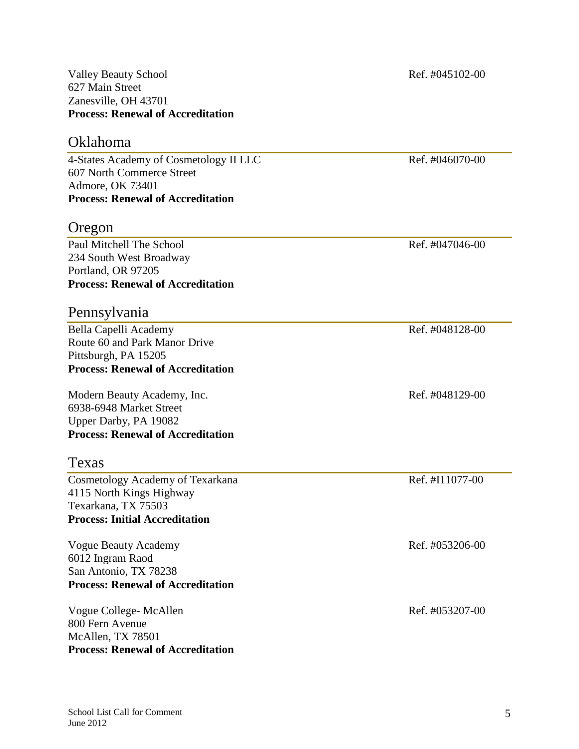#### Valley Beauty School and The Contract of the Ref. #045102-00 627 Main Street Zanesville, OH 43701 **Process: Renewal of Accreditation**

## Oklahoma

4-States Academy of Cosmetology II LLC Ref. #046070-00 607 North Commerce Street Admore, OK 73401 **Process: Renewal of Accreditation**

# Oregon

Paul Mitchell The School **Ref.** #047046-00 234 South West Broadway Portland, OR 97205 **Process: Renewal of Accreditation**

#### Pennsylvania

Bella Capelli Academy Ref. #048128-00 Route 60 and Park Manor Drive Pittsburgh, PA 15205 **Process: Renewal of Accreditation**

Modern Beauty Academy, Inc. Ref. #048129-00 6938-6948 Market Street Upper Darby, PA 19082 **Process: Renewal of Accreditation**

#### Texas

Cosmetology Academy of Texarkana Ref. #I11077-00 4115 North Kings Highway Texarkana, TX 75503 **Process: Initial Accreditation**

Vogue Beauty Academy **Ref.** #053206-00 6012 Ingram Raod San Antonio, TX 78238 **Process: Renewal of Accreditation**

Vogue College- McAllen Ref. #053207-00 800 Fern Avenue McAllen, TX 78501 **Process: Renewal of Accreditation**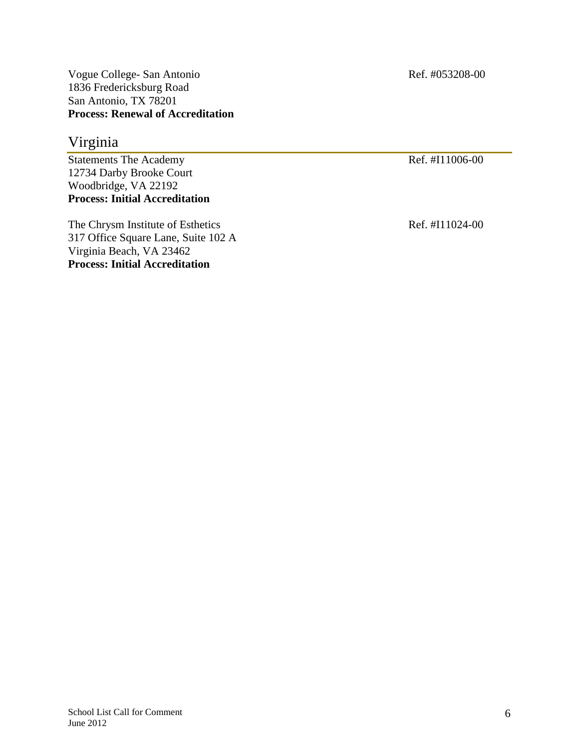Vogue College- San Antonio Ref. #053208-00 1836 Fredericksburg Road San Antonio, TX 78201 **Process: Renewal of Accreditation**

## Virginia

Statements The Academy Ref. #I11006-00 12734 Darby Brooke Court Woodbridge, VA 22192 **Process: Initial Accreditation**

The Chrysm Institute of Esthetics Ref. #I11024-00 317 Office Square Lane, Suite 102 A Virginia Beach, VA 23462 **Process: Initial Accreditation**